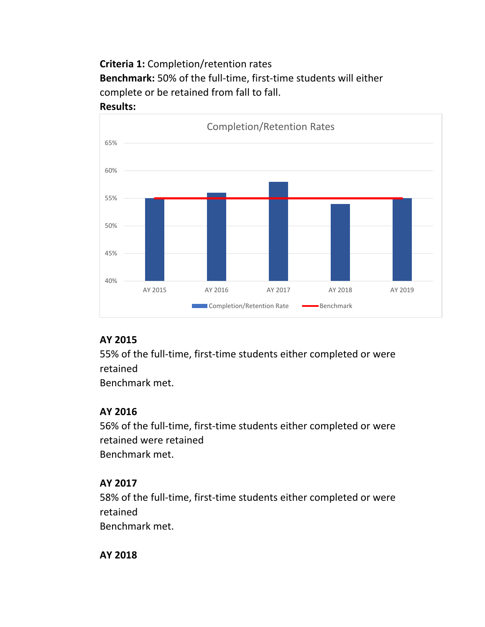**Criteria 1:** Completion/retention rates **Benchmark:** 50% of the full-time, first-time students will either complete or be retained from fall to fall.





## **AY 2015**

55% of the full-time, first-time students either completed or were retained

Benchmark met.

# **AY 2016**

56% of the full-time, first-time students either completed or were retained were retained Benchmark met.

# **AY 2017**

58% of the full-time, first-time students either completed or were retained

Benchmark met.

**AY 2018**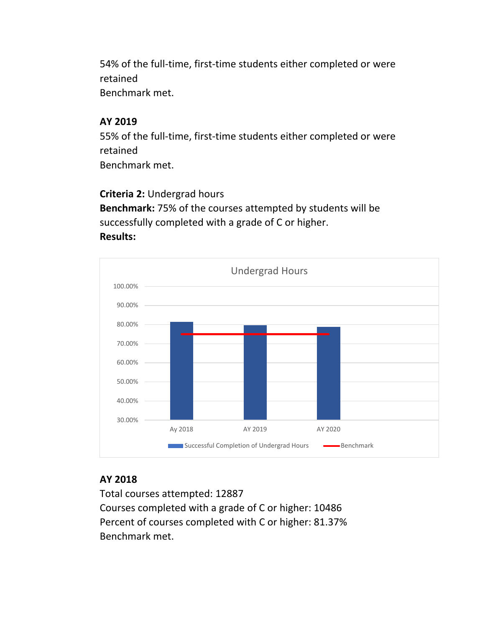54% of the full-time, first-time students either completed or were retained Benchmark met.

## **AY 2019**

55% of the full-time, first-time students either completed or were retained Benchmark met.

### **Criteria 2:** Undergrad hours

**Benchmark:** 75% of the courses attempted by students will be successfully completed with a grade of C or higher. **Results:** 



### **AY 2018**

Total courses attempted: 12887 Courses completed with a grade of C or higher: 10486 Percent of courses completed with C or higher: 81.37% Benchmark met.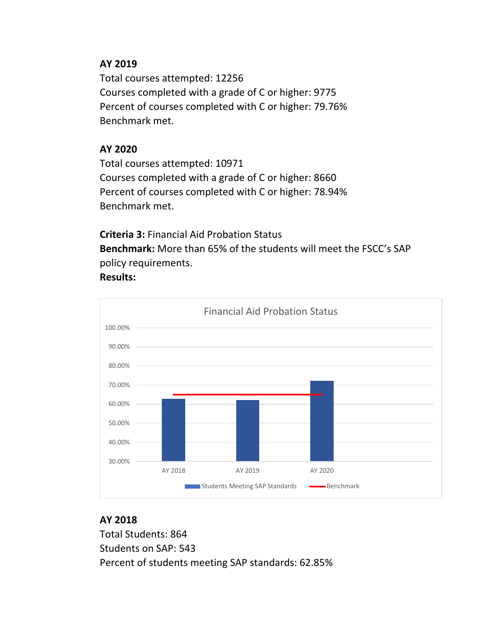### **AY 2019**

Total courses attempted: 12256 Courses completed with a grade of C or higher: 9775 Percent of courses completed with C or higher: 79.76% Benchmark met.

# **AY 2020**

Total courses attempted: 10971 Courses completed with a grade of C or higher: 8660 Percent of courses completed with C or higher: 78.94% Benchmark met.

**Criteria 3:** Financial Aid Probation Status

**Benchmark:** More than 65% of the students will meet the FSCC's SAP policy requirements.

### **Results:**



# **AY 2018**

Total Students: 864 Students on SAP: 543 Percent of students meeting SAP standards: 62.85%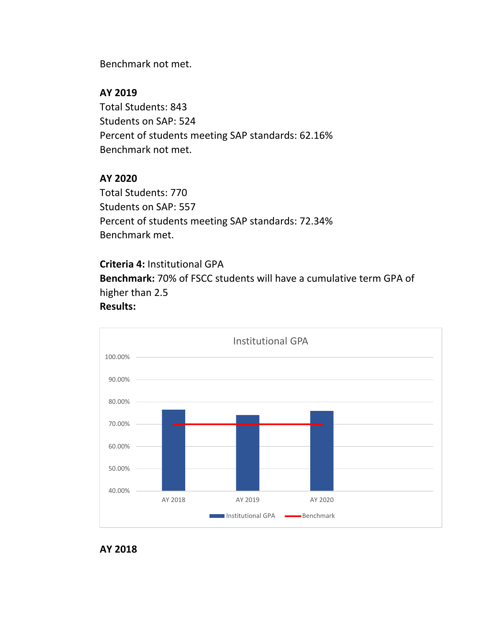Benchmark not met.

## **AY 2019**

Total Students: 843 Students on SAP: 524 Percent of students meeting SAP standards: 62.16% Benchmark not met.

# **AY 2020**

Total Students: 770 Students on SAP: 557 Percent of students meeting SAP standards: 72.34% Benchmark met.

**Criteria 4:** Institutional GPA **Benchmark:** 70% of FSCC students will have a cumulative term GPA of higher than 2.5 **Results:**



#### **AY 2018**